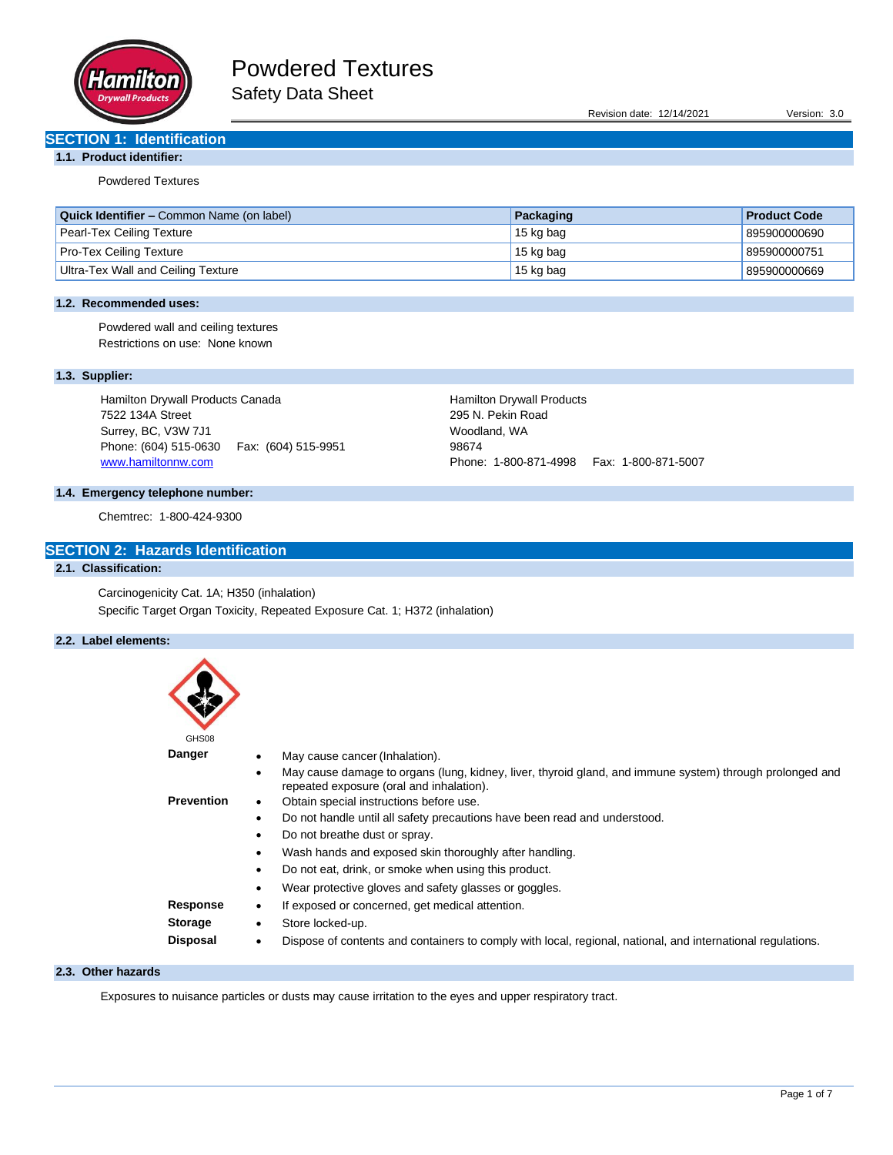

Revision date: 12/14/2021 Version: 3.0

## **SECTION 1: Identification**

## **1.1. Product identifier:**

Powdered Textures

| <b>Quick Identifier – Common Name (on label)</b> | Packaging | <b>Product Code</b> |
|--------------------------------------------------|-----------|---------------------|
| Pearl-Tex Ceiling Texture                        | 15 kg bag | 895900000690        |
| <b>Pro-Tex Ceiling Texture</b>                   | 15 kg bag | 895900000751        |
| Ultra-Tex Wall and Ceiling Texture               | 15 kg bag | 895900000669        |

## **1.2. Recommended uses:**

Powdered wall and ceiling textures Restrictions on use: None known

## **1.3. Supplier:**

Hamilton Drywall Products Canada 7522 134A Street Surrey, BC, V3W 7J1 Phone: (604) 515-0630 Fax: (604) 515-9951 [www.hamiltonnw.com](http://www.hamiltonnw.com/)

Hamilton Drywall Products 295 N. Pekin Road Woodland, WA 98674 Phone: 1-800-871-4998 Fax: 1-800-871-5007

## **1.4. Emergency telephone number:**

Chemtrec: 1-800-424-9300

## **SECTION 2: Hazards Identification**

## **2.1. Classification:**

Carcinogenicity Cat. 1A; H350 (inhalation) Specific Target Organ Toxicity, Repeated Exposure Cat. 1; H372 (inhalation)

## **2.2. Label elements:**

| GHS08             |           |                                                                                                                                                      |
|-------------------|-----------|------------------------------------------------------------------------------------------------------------------------------------------------------|
| Danger            |           | May cause cancer (Inhalation).                                                                                                                       |
|                   | $\bullet$ | May cause damage to organs (lung, kidney, liver, thyroid gland, and immune system) through prolonged and<br>repeated exposure (oral and inhalation). |
| <b>Prevention</b> | ٠         | Obtain special instructions before use.                                                                                                              |
|                   | $\bullet$ | Do not handle until all safety precautions have been read and understood.                                                                            |
|                   | $\bullet$ | Do not breathe dust or spray.                                                                                                                        |
|                   | $\bullet$ | Wash hands and exposed skin thoroughly after handling.                                                                                               |
|                   | $\bullet$ | Do not eat, drink, or smoke when using this product.                                                                                                 |
|                   | ٠         | Wear protective gloves and safety glasses or goggles.                                                                                                |
| Response          | $\bullet$ | If exposed or concerned, get medical attention.                                                                                                      |
| <b>Storage</b>    | $\bullet$ | Store locked-up.                                                                                                                                     |
| <b>Disposal</b>   | $\bullet$ | Dispose of contents and containers to comply with local, regional, national, and international regulations.                                          |

## **2.3. Other hazards**

Exposures to nuisance particles or dusts may cause irritation to the eyes and upper respiratory tract.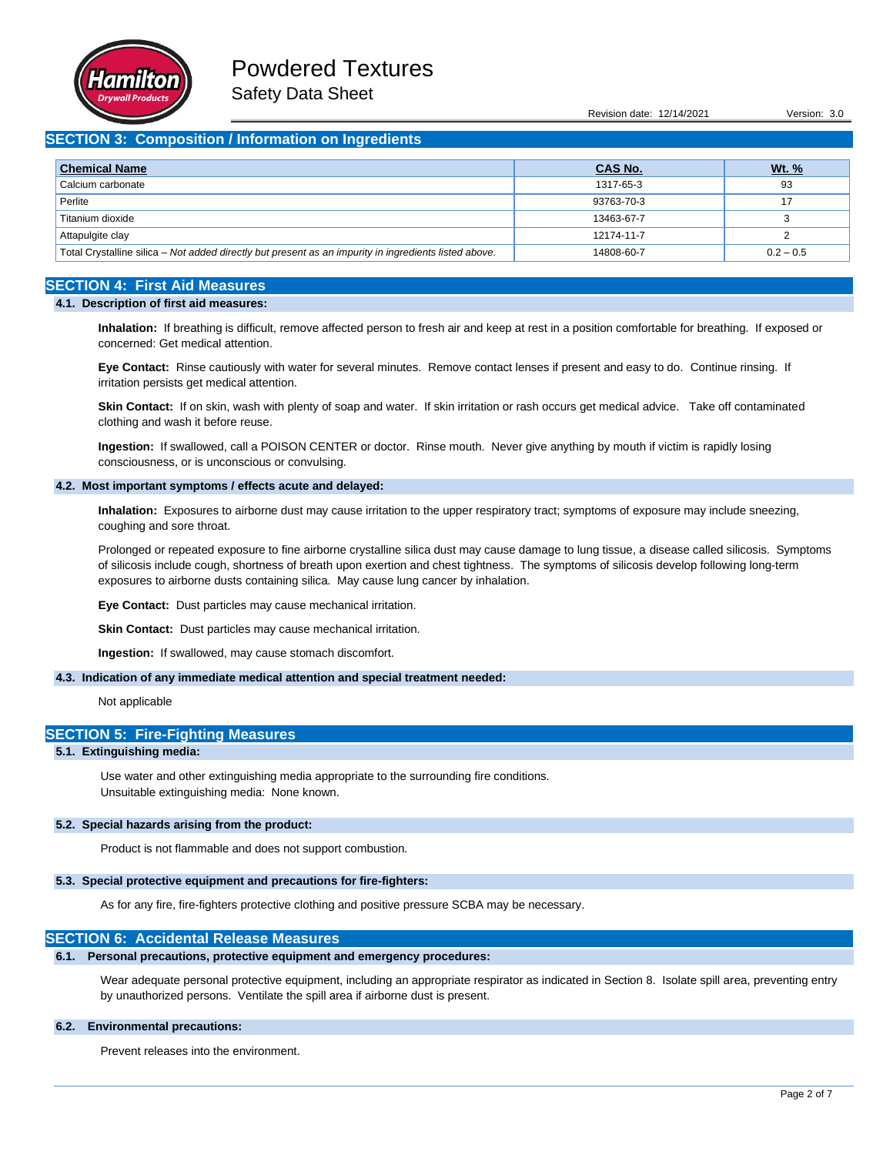

Revision date: 12/14/2021 Version: 3.0

## **SECTION 3: Composition / Information on Ingredients**

| <b>Chemical Name</b>                                                                                  | <b>CAS No.</b> | <u>Wt. %</u> |
|-------------------------------------------------------------------------------------------------------|----------------|--------------|
| Calcium carbonate                                                                                     | 1317-65-3      | 93           |
| Perlite                                                                                               | 93763-70-3     |              |
| Titanium dioxide                                                                                      | 13463-67-7     |              |
| Attapulgite clay                                                                                      | 12174-11-7     |              |
| Total Crystalline silica – Not added directly but present as an impurity in ingredients listed above. | 14808-60-7     | $0.2 - 0.5$  |

## **SECTION 4: First Aid Measures**

### **4.1. Description of first aid measures:**

**Inhalation:** If breathing is difficult, remove affected person to fresh air and keep at rest in a position comfortable for breathing. If exposed or concerned: Get medical attention.

**Eye Contact:** Rinse cautiously with water for several minutes. Remove contact lenses if present and easy to do. Continue rinsing. If irritation persists get medical attention.

**Skin Contact:** If on skin, wash with plenty of soap and water. If skin irritation or rash occurs get medical advice. Take off contaminated clothing and wash it before reuse.

**Ingestion:** If swallowed, call a POISON CENTER or doctor. Rinse mouth. Never give anything by mouth if victim is rapidly losing consciousness, or is unconscious or convulsing.

#### **4.2. Most important symptoms / effects acute and delayed:**

**Inhalation:** Exposures to airborne dust may cause irritation to the upper respiratory tract; symptoms of exposure may include sneezing, coughing and sore throat.

Prolonged or repeated exposure to fine airborne crystalline silica dust may cause damage to lung tissue, a disease called silicosis. Symptoms of silicosis include cough, shortness of breath upon exertion and chest tightness. The symptoms of silicosis develop following long-term exposures to airborne dusts containing silica. May cause lung cancer by inhalation.

**Eye Contact:** Dust particles may cause mechanical irritation.

**Skin Contact:** Dust particles may cause mechanical irritation.

**Ingestion:** If swallowed, may cause stomach discomfort.

#### **4.3. Indication of any immediate medical attention and special treatment needed:**

Not applicable

### **SECTION 5: Fire-Fighting Measures**

### **5.1. Extinguishing media:**

Use water and other extinguishing media appropriate to the surrounding fire conditions. Unsuitable extinguishing media: None known.

#### **5.2. Special hazards arising from the product:**

Product is not flammable and does not support combustion.

#### **5.3. Special protective equipment and precautions for fire-fighters:**

As for any fire, fire-fighters protective clothing and positive pressure SCBA may be necessary.

### **SECTION 6: Accidental Release Measures**

## **6.1. Personal precautions, protective equipment and emergency procedures:**

Wear adequate personal protective equipment, including an appropriate respirator as indicated in Section 8. Isolate spill area, preventing entry by unauthorized persons. Ventilate the spill area if airborne dust is present.

#### **6.2. Environmental precautions:**

Prevent releases into the environment.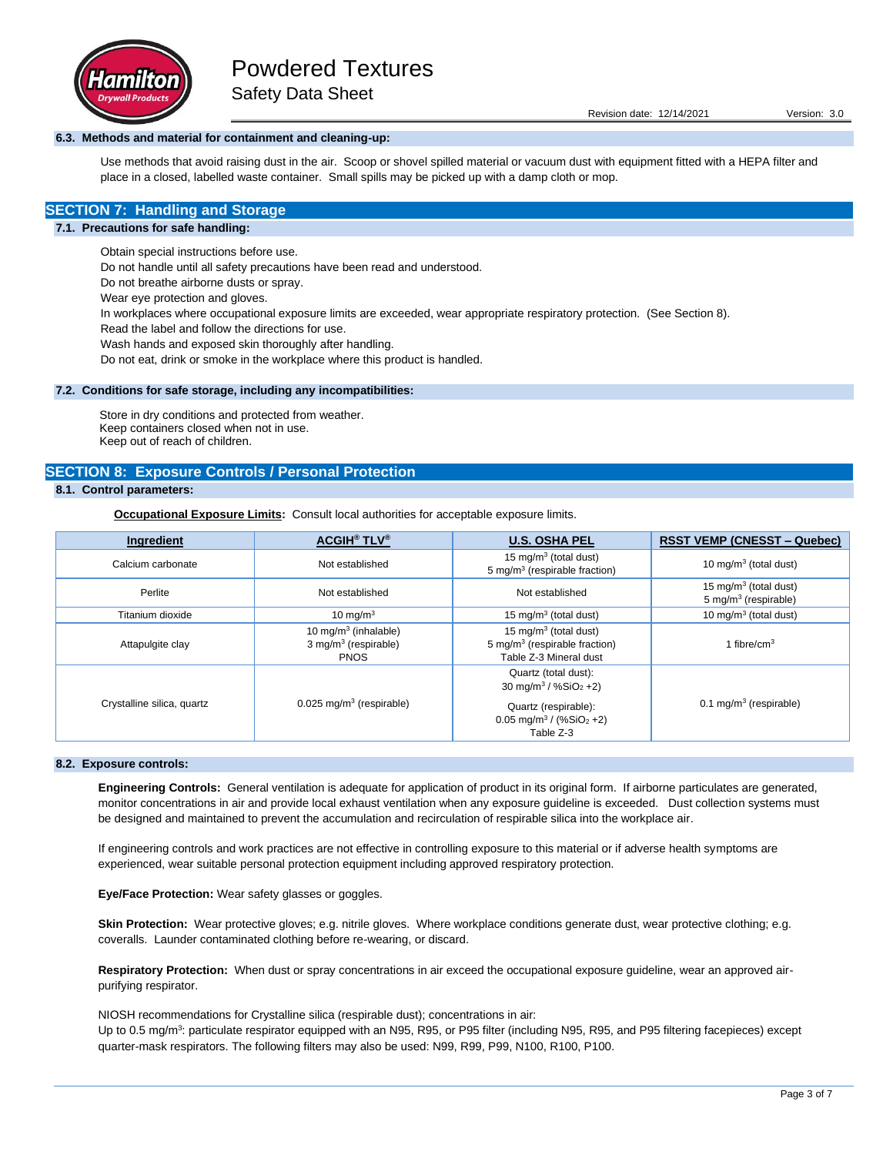

### **6.3. Methods and material for containment and cleaning-up:**

Use methods that avoid raising dust in the air. Scoop or shovel spilled material or vacuum dust with equipment fitted with a HEPA filter and place in a closed, labelled waste container. Small spills may be picked up with a damp cloth or mop.

## **SECTION 7: Handling and Storage**

#### **7.1. Precautions for safe handling:**

Obtain special instructions before use.

Do not handle until all safety precautions have been read and understood.

Do not breathe airborne dusts or spray.

Wear eye protection and gloves.

In workplaces where occupational exposure limits are exceeded, wear appropriate respiratory protection. (See Section 8).

Read the label and follow the directions for use.

Wash hands and exposed skin thoroughly after handling.

Do not eat, drink or smoke in the workplace where this product is handled.

#### **7.2. Conditions for safe storage, including any incompatibilities:**

Store in dry conditions and protected from weather. Keep containers closed when not in use. Keep out of reach of children.

### **SECTION 8: Exposure Controls / Personal Protection**

## **8.1. Control parameters:**

**Occupational Exposure Limits:** Consult local authorities for acceptable exposure limits.

| Ingredient                 | <b>ACGIH<sup>®</sup> TLV<sup>®</sup></b>                                   | <b>U.S. OSHA PEL</b>                                                                                                                                           | <b>RSST VEMP (CNESST – Quebec)</b>                                    |
|----------------------------|----------------------------------------------------------------------------|----------------------------------------------------------------------------------------------------------------------------------------------------------------|-----------------------------------------------------------------------|
| Calcium carbonate          | Not established                                                            | 15 mg/m <sup>3</sup> (total dust)<br>5 mg/m <sup>3</sup> (respirable fraction)                                                                                 | 10 mg/m $3$ (total dust)                                              |
| Perlite                    | Not established                                                            | Not established                                                                                                                                                | 15 mg/m <sup>3</sup> (total dust)<br>5 mg/m <sup>3</sup> (respirable) |
| Titanium dioxide           | 10 mg/m $3$                                                                | 15 mg/m <sup>3</sup> (total dust)                                                                                                                              | 10 mg/m $3$ (total dust)                                              |
| Attapulgite clay           | 10 mg/m $3$ (inhalable)<br>3 mg/m <sup>3</sup> (respirable)<br><b>PNOS</b> | 15 mg/m <sup>3</sup> (total dust)<br>5 mg/m <sup>3</sup> (respirable fraction)<br>Table Z-3 Mineral dust                                                       | 1 fibre/ $cm3$                                                        |
| Crystalline silica, quartz | $0.025$ mg/m <sup>3</sup> (respirable)                                     | Quartz (total dust):<br>30 mg/m <sup>3</sup> / %SiO <sub>2</sub> +2)<br>Quartz (respirable):<br>$0.05$ mg/m <sup>3</sup> / (%SiO <sub>2</sub> +2)<br>Table Z-3 | $0.1 \text{ mg/m}^3$ (respirable)                                     |

## **8.2. Exposure controls:**

**Engineering Controls:** General ventilation is adequate for application of product in its original form. If airborne particulates are generated, monitor concentrations in air and provide local exhaust ventilation when any exposure guideline is exceeded. Dust collection systems must be designed and maintained to prevent the accumulation and recirculation of respirable silica into the workplace air.

If engineering controls and work practices are not effective in controlling exposure to this material or if adverse health symptoms are experienced, wear suitable personal protection equipment including approved respiratory protection.

**Eye/Face Protection:** Wear safety glasses or goggles.

Skin Protection: Wear protective gloves; e.g. nitrile gloves. Where workplace conditions generate dust, wear protective clothing; e.g. coveralls. Launder contaminated clothing before re-wearing, or discard.

**Respiratory Protection:** When dust or spray concentrations in air exceed the occupational exposure guideline, wear an approved airpurifying respirator.

NIOSH recommendations for Crystalline silica (respirable dust); concentrations in air: Up to 0.5 mg/m<sup>3</sup>: particulate respirator equipped with an N95, R95, or P95 filter (including N95, R95, and P95 filtering facepieces) except quarter-mask respirators. The following filters may also be used: N99, R99, P99, N100, R100, P100.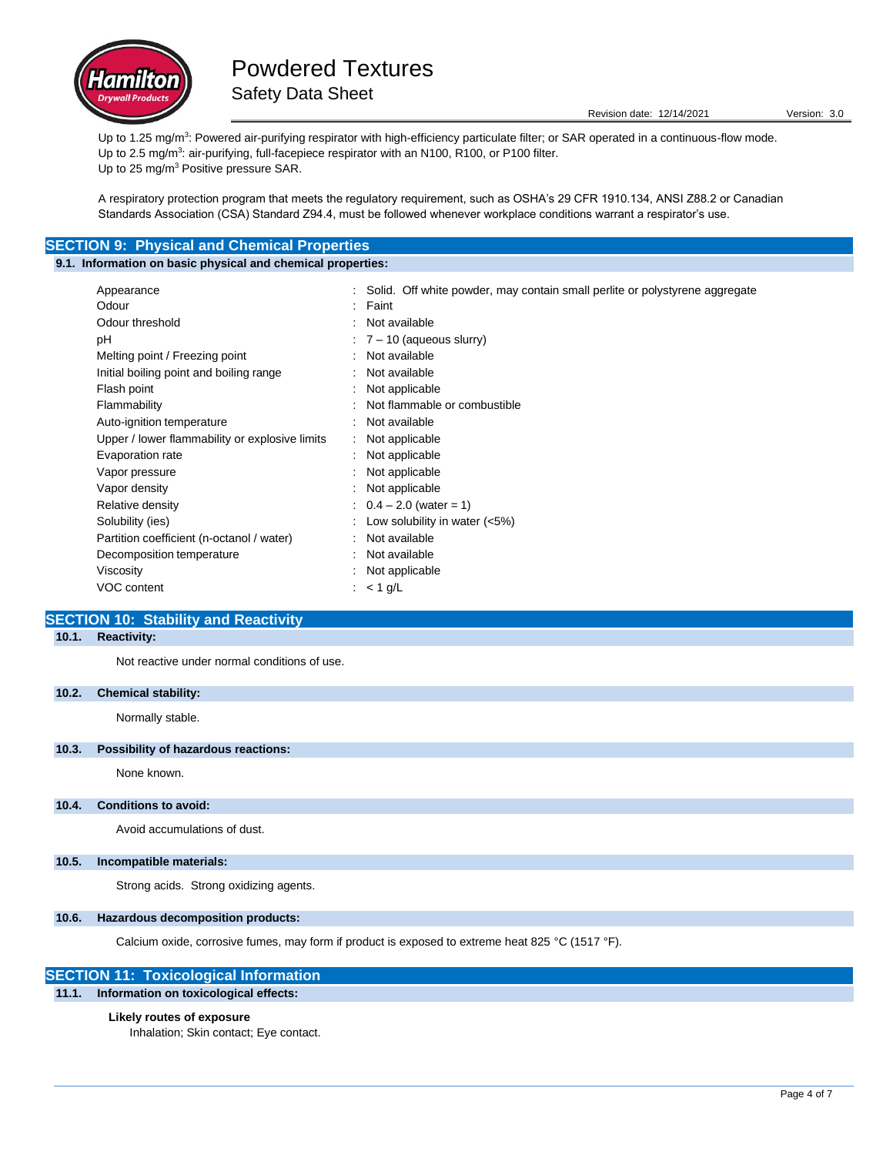

Up to 1.25 mg/m<sup>3</sup>: Powered air-purifying respirator with high-efficiency particulate filter; or SAR operated in a continuous-flow mode. Up to 2.5 mg/m<sup>3</sup>: air-purifying, full-facepiece respirator with an N100, R100, or P100 filter. Up to 25 mg/m<sup>3</sup> Positive pressure SAR.

A respiratory protection program that meets the regulatory requirement, such as OSHA's 29 CFR 1910.134, ANSI Z88.2 or Canadian Standards Association (CSA) Standard Z94.4, must be followed whenever workplace conditions warrant a respirator's use.

## **SECTION 9: Physical and Chemical Properties**

## **9.1. Information on basic physical and chemical properties:**

| Appearance                                     |           | : Solid. Off white powder, may contain small perlite or polystyrene aggregate |
|------------------------------------------------|-----------|-------------------------------------------------------------------------------|
| Odour                                          |           | Faint                                                                         |
| Odour threshold                                |           | Not available                                                                 |
| рH                                             |           | $\div$ 7 – 10 (aqueous slurry)                                                |
| Melting point / Freezing point                 |           | Not available                                                                 |
| Initial boiling point and boiling range        | $\bullet$ | Not available                                                                 |
| Flash point                                    |           | Not applicable                                                                |
| Flammability                                   |           | Not flammable or combustible                                                  |
| Auto-ignition temperature                      |           | Not available                                                                 |
| Upper / lower flammability or explosive limits |           | Not applicable                                                                |
| Evaporation rate                               |           | Not applicable                                                                |
| Vapor pressure                                 |           | Not applicable                                                                |
| Vapor density                                  |           | Not applicable                                                                |
| Relative density                               |           | $0.4 - 2.0$ (water = 1)                                                       |
| Solubility (ies)                               |           | Low solubility in water $(<5\%)$                                              |
| Partition coefficient (n-octanol / water)      | ۰.        | Not available                                                                 |
| Decomposition temperature                      |           | Not available                                                                 |
| Viscosity                                      |           | Not applicable                                                                |
| VOC content                                    |           | : $<$ 1 g/L                                                                   |
|                                                |           |                                                                               |

## **SECTION 10: Stability and Reactivity**

## **10.1. Reactivity:**

Not reactive under normal conditions of use.

### **10.2. Chemical stability:**

Normally stable.

### **10.3. Possibility of hazardous reactions:**

None known.

#### **10.4. Conditions to avoid:**

Avoid accumulations of dust.

#### **10.5. Incompatible materials:**

Strong acids. Strong oxidizing agents.

#### **10.6. Hazardous decomposition products:**

Calcium oxide, corrosive fumes, may form if product is exposed to extreme heat 825 °C (1517 °F).

## **SECTION 11: Toxicological Information**

**11.1. Information on toxicological effects:**

### **Likely routes of exposure**

Inhalation; Skin contact; Eye contact.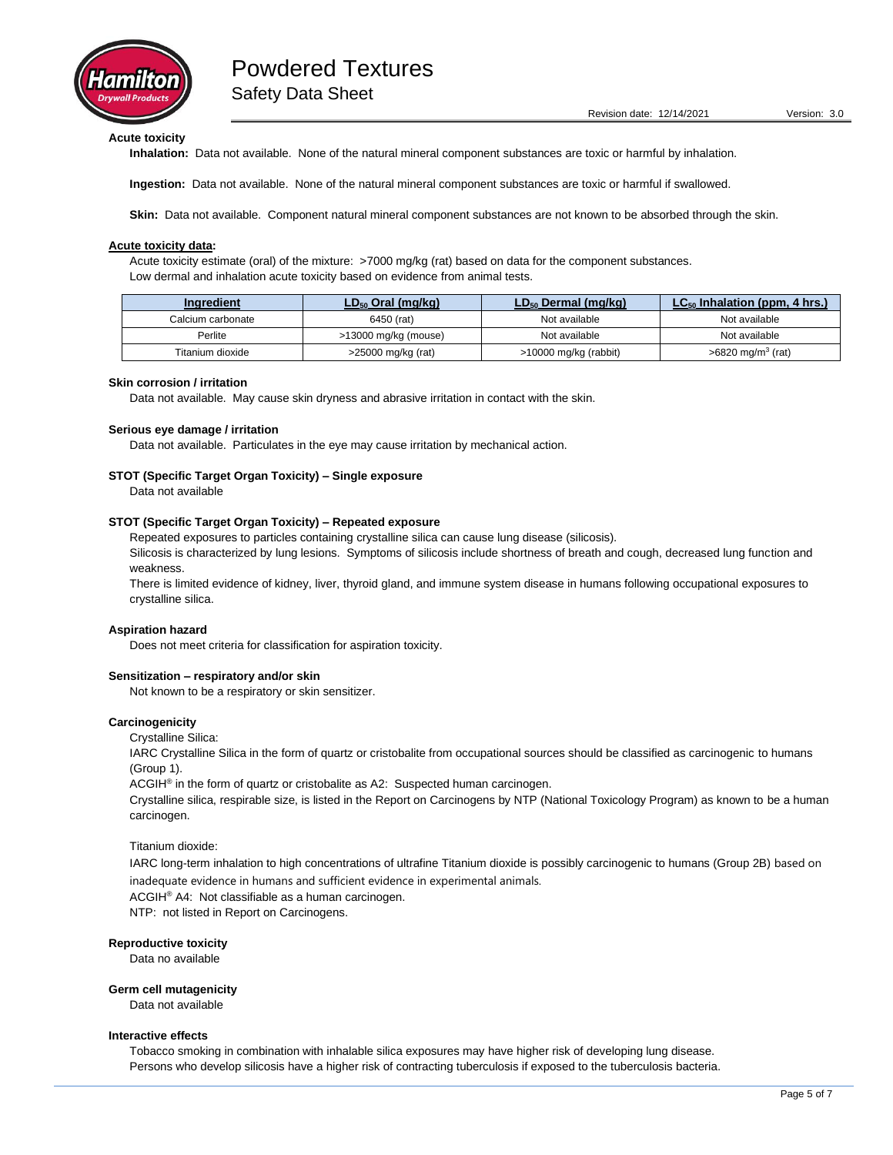

## **Acute toxicity**

**Inhalation:** Data not available. None of the natural mineral component substances are toxic or harmful by inhalation.

**Ingestion:** Data not available. None of the natural mineral component substances are toxic or harmful if swallowed.

**Skin:** Data not available. Component natural mineral component substances are not known to be absorbed through the skin.

#### **Acute toxicity data:**

Acute toxicity estimate (oral) of the mixture: >7000 mg/kg (rat) based on data for the component substances. Low dermal and inhalation acute toxicity based on evidence from animal tests.

| Ingredient                      | $LD_{50}$ Oral (mg/kg) | $LD_{50}$ Dermal (mg/kg) | $LC_{50}$ Inhalation (ppm, 4 hrs.) |
|---------------------------------|------------------------|--------------------------|------------------------------------|
| 6450 (rat)<br>Calcium carbonate |                        | Not available            | Not available                      |
| Perlite<br>>13000 mg/kg (mouse) |                        | Not available            | Not available                      |
| Titanium dioxide                | >25000 mg/kg (rat)     | >10000 mg/kg (rabbit)    | $>6820$ mg/m <sup>3</sup> (rat)    |

#### **Skin corrosion / irritation**

Data not available. May cause skin dryness and abrasive irritation in contact with the skin.

#### **Serious eye damage / irritation**

Data not available. Particulates in the eye may cause irritation by mechanical action.

#### **STOT (Specific Target Organ Toxicity) – Single exposure**

Data not available

#### **STOT (Specific Target Organ Toxicity) – Repeated exposure**

Repeated exposures to particles containing crystalline silica can cause lung disease (silicosis).

Silicosis is characterized by lung lesions. Symptoms of silicosis include shortness of breath and cough, decreased lung function and weakness.

There is limited evidence of kidney, liver, thyroid gland, and immune system disease in humans following occupational exposures to crystalline silica.

#### **Aspiration hazard**

Does not meet criteria for classification for aspiration toxicity.

#### **Sensitization – respiratory and/or skin**

Not known to be a respiratory or skin sensitizer.

#### **Carcinogenicity**

Crystalline Silica:

IARC Crystalline Silica in the form of quartz or cristobalite from occupational sources should be classified as carcinogenic to humans (Group 1).

ACGIH<sup>®</sup> in the form of quartz or cristobalite as A2: Suspected human carcinogen.

Crystalline silica, respirable size, is listed in the Report on Carcinogens by NTP (National Toxicology Program) as known to be a human carcinogen.

#### Titanium dioxide:

IARC long-term inhalation to high concentrations of ultrafine Titanium dioxide is possibly carcinogenic to humans (Group 2B) based on inadequate evidence in humans and sufficient evidence in experimental animals.

ACGIH® A4: Not classifiable as a human carcinogen.

NTP: not listed in Report on Carcinogens.

#### **Reproductive toxicity**

Data no available

#### **Germ cell mutagenicity**

Data not available

#### **Interactive effects**

Tobacco smoking in combination with inhalable silica exposures may have higher risk of developing lung disease. Persons who develop silicosis have a higher risk of contracting tuberculosis if exposed to the tuberculosis bacteria.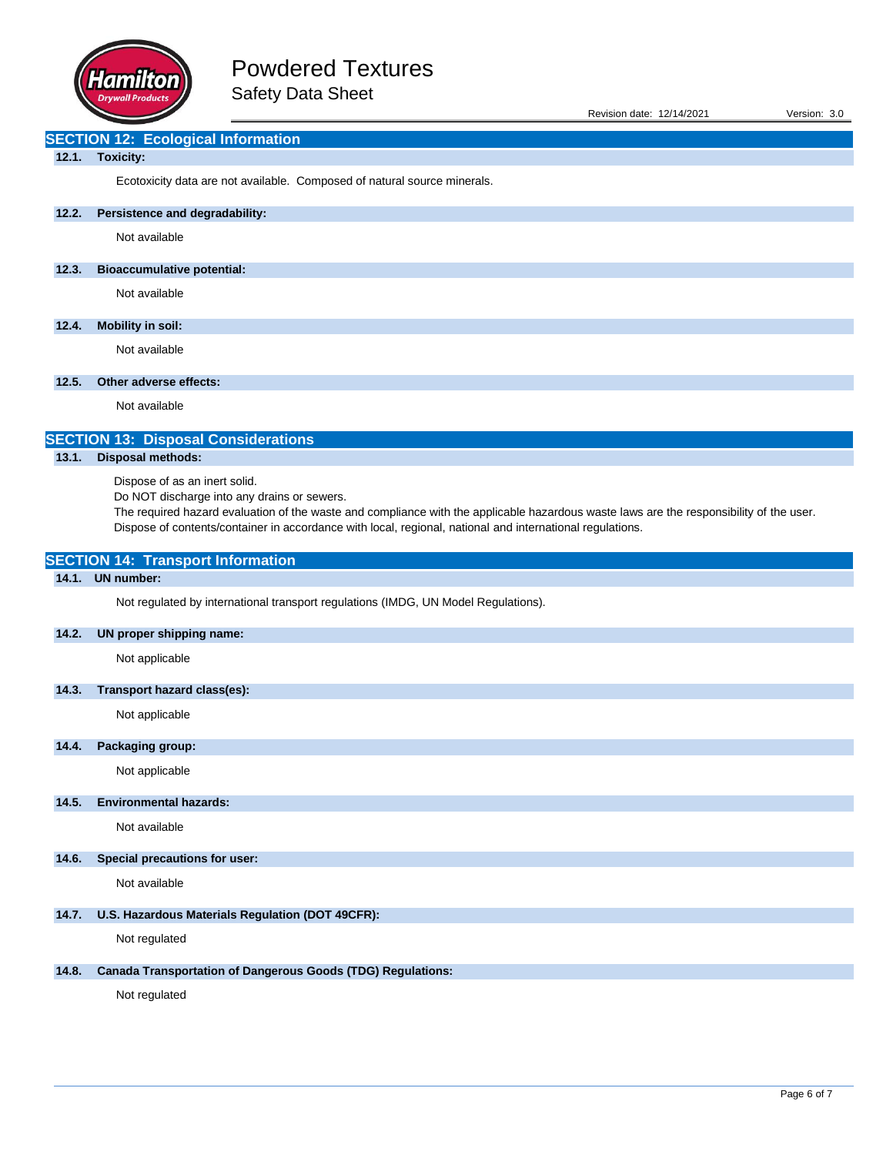

| Revision date: 12/14/2021 | Version: 3.0 |  |
|---------------------------|--------------|--|
|                           |              |  |

## **SECTION 12: Ecological Information**

## **12.1. Toxicity:**

Ecotoxicity data are not available. Composed of natural source minerals.

## **12.2. Persistence and degradability:**

Not available

## **12.3. Bioaccumulative potential:**

Not available

## **12.4. Mobility in soil:**

Not available

## **12.5. Other adverse effects:**

Not available

# **SECTION 13: Disposal Considerations**

## **13.1. Disposal methods:**

Dispose of as an inert solid.

**SECTION 14: Transport Information**

Do NOT discharge into any drains or sewers.

The required hazard evaluation of the waste and compliance with the applicable hazardous waste laws are the responsibility of the user. Dispose of contents/container in accordance with local, regional, national and international regulations.

| 14.1. | <b>UN number:</b>                                                                  |
|-------|------------------------------------------------------------------------------------|
|       | Not regulated by international transport regulations (IMDG, UN Model Regulations). |
| 14.2. | UN proper shipping name:                                                           |
|       | Not applicable                                                                     |
| 14.3. | Transport hazard class(es):                                                        |
|       | Not applicable                                                                     |
| 14.4. | Packaging group:                                                                   |
|       | Not applicable                                                                     |
| 14.5. | <b>Environmental hazards:</b>                                                      |
|       | Not available                                                                      |
| 14.6. | <b>Special precautions for user:</b>                                               |
|       | Not available                                                                      |
| 14.7. | U.S. Hazardous Materials Regulation (DOT 49CFR):                                   |
|       | Not regulated                                                                      |
| 14.8. | <b>Canada Transportation of Dangerous Goods (TDG) Regulations:</b>                 |
|       | Not regulated                                                                      |
|       |                                                                                    |
|       |                                                                                    |
|       |                                                                                    |